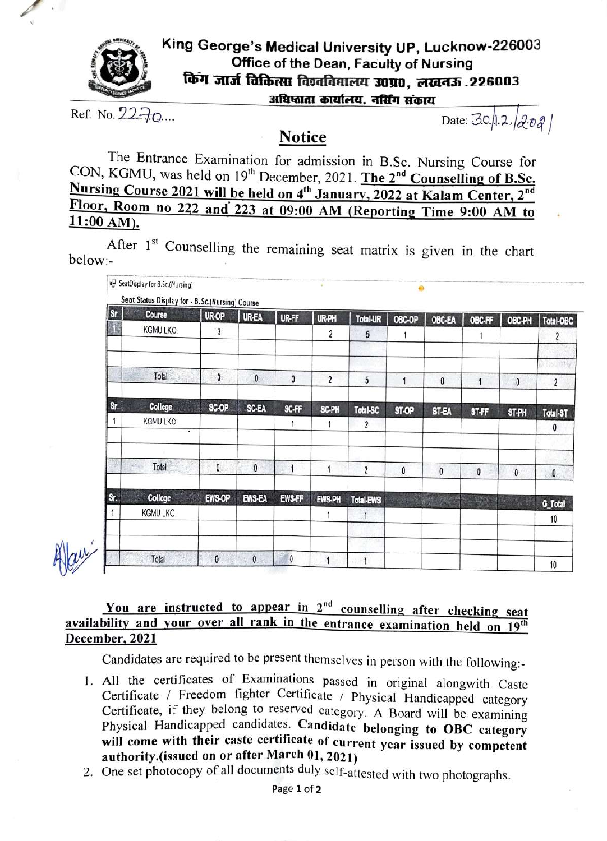

## King George's Medical University UP, Lucknow-226003 Office of the Dean, Faculty of Nursing किंग जार्ज विकित्सा विश्वविद्यालय 30प्र0, लखनऊ .226003<br>अधिष्ठाता कार्यालय, नर्सिंग संकाय

Ref. No.  $22.70...$  Date:  $30/2/2$ 

### **Notice**

The Entrance Examination for admission in B.Sc. Nursing Course for CON, KGMU, was held on 19<sup>th</sup> December, 2021. The 2<sup>nd</sup> Counselling of B.Sc. Nursing Course 2021 will be held on 4<sup>th</sup> January, 2022 at Kalam Center, 2<sup>nd</sup> Floor, Room no 222 and 223 at 09:00 AM (Reporting Time 9:00 AM to

After  $1<sup>st</sup>$  Counselling the remaining seat matrix is given in the chart below:-

| Sr. | Course         | UR-OP          | UR-EA         | UR-FF         | UR-PH                   | Total-UR                | OBC-OP | OBC-EA    | OBC-FF       | OBC-PH       | Total-OBC      |
|-----|----------------|----------------|---------------|---------------|-------------------------|-------------------------|--------|-----------|--------------|--------------|----------------|
| 98  | KGMU LKO.      | $\ddot{3}$     |               |               | 2                       | 5                       | 1      |           |              |              | $\overline{c}$ |
|     | Total          |                |               |               |                         |                         |        |           |              |              | M.             |
|     |                | $\overline{3}$ | $\mathbf{0}$  | $\mathbf{0}$  | $\overline{\mathbf{c}}$ | $\mathsf{5}$            | 1      | $\pmb{0}$ | $\mathbf{1}$ | $\mathbf{0}$ | $\overline{2}$ |
| Sr. | <b>College</b> | SC-OP          | <b>SC-EA</b>  | SC-FF         | SC-PH                   | Total-SC                | ST-OP  | ST-EA     | ST-FF        | ST-PH        | Total-ST       |
|     | KGMU LKO<br>٠  |                |               | 1             |                         | $\mathbf{2}$            |        |           |              |              | $\mathbf{0}$   |
|     | Total          | $\pmb{0}$      | $\mathbf{0}$  |               |                         | $\overline{\mathbf{c}}$ | 0      | $\pmb{0}$ | 0            | $\pmb{0}$    | $\mathbf{0}$   |
| Sr. | College        | EWS-OP         | <b>EWS-EA</b> | <b>EWS-FF</b> | EWS-PH                  | Total-EWS               |        |           | 上解           |              | G_Total        |
|     | KGMU LKO       |                |               |               |                         | 1                       |        |           |              |              | 10             |
|     | Total          | $\mathbf{0}$   | $\theta$      | $\pmb{0}$     |                         | w<br>1                  |        |           |              |              | 10             |

#### You are instructed to appear in  $2<sup>nd</sup>$  counselling after checking seat availability and your over all rank in the entrance examination held on 19<sup>th</sup> December, 2021

Candidates are required to be present themselves in person with the following:

- 1. All the certificates of Examinations passed in original alongwith Caste<br>Certificate / Freedom fighter Certificate / Physical Handicapped category Certificate, if they belong to reserved category. A Board will be examining Physical Handicapped candidates. Candidate belonging to OBC category will come with their caste certificate of current year issued by competent authority.(issued on or after March 01, 2021)
- 2. One set photocopy of all documents duly self-attested with two photographs.<br>Page 1 of 2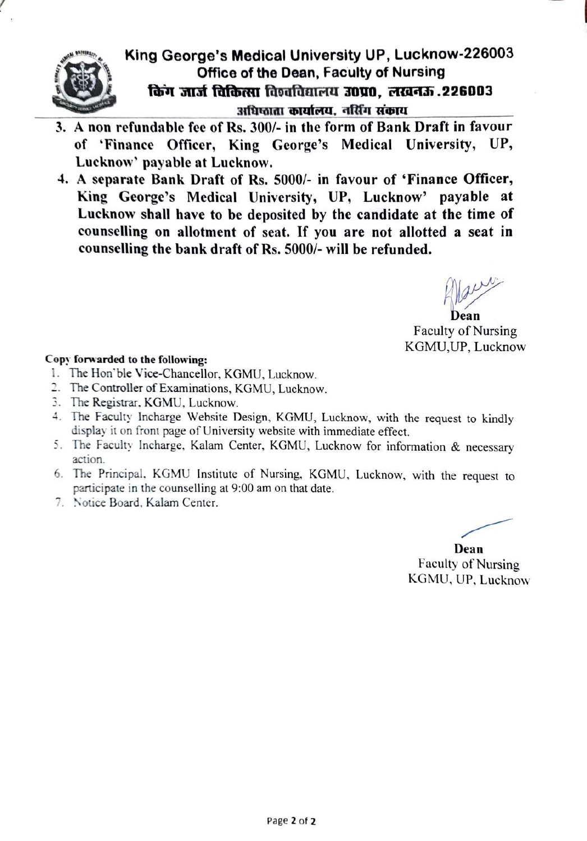

### King George's Medical University UP, Lucknow-226003 Office of the Dean, Faculty of Nursing किंग जार्ज विकित्सा विश्वविद्यालय उ०प्र०, लखनऊ . 226003 3ाधिफाता कार्यालय, नर्सिंग संकाय

- 3. A non refundable fee of Rs. 300/- in the form of Bank Draft in favour of 'Finance Officer, King George's Medical University, UP, Lucknow' payable at Lucknow.
- 4. A separate Bank Draft of Rs. 5000/- in favour of 'Finance Officer, King George's Medical University, UP, Lucknow' payable at Lucknow shall have to be deposited by the candidate at the time of counselling on allotment of seat. If you are not allotted a seat in counselling the bank draft of Rs. 5000/- will be refunded.

Dean Faculty of Nursing KGMU,UP, Lucknow

#### Copy forwarded to the following:

- 1. The Hon'ble Vice-Chancellor, KGMU, Lucknow.
- 2. The Controller of Examinations, KGMU, Lucknow.
- 3. The Registrar, KGMU, Lucknow.
- 4 The Faculty Incharge Website Design. KGMU, Lucknow, with the request to kindly display it on front page of University website with immediate effect.
- 5. The Faculty Incharge, Kalam Center, KGMU, Lucknow for information & necessary action.
- 6. The Principal., KGMU Institute of Nursing. KGMU, Lucknow, with the request to participate in the counselling at 9:00 am on that date.
- 7. Notice Board, Kalam Center.

Dean Faculty of Nursing KGMU, UP, Lucknow